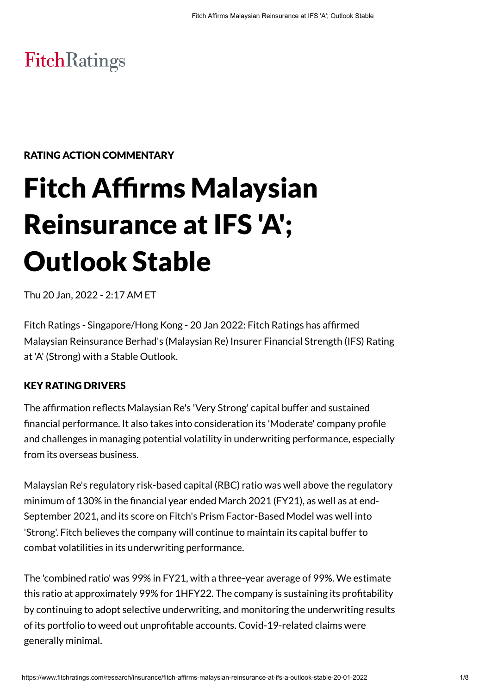# FitchRatings

# RATING ACTION COMMENTARY

# Fitch Affirms Malaysian Reinsurance at IFS 'A'; Outlook Stable

Thu 20 Jan, 2022 - 2:17 AM ET

Fitch Ratings - Singapore/Hong Kong - 20 Jan 2022: Fitch Ratings has affirmed Malaysian Reinsurance Berhad's (Malaysian Re) Insurer Financial Strength (IFS) Rating at 'A' (Strong) with a Stable Outlook.

# KEY RATING DRIVERS

The affirmation reflects Malaysian Re's 'Very Strong' capital buffer and sustained financial performance. It also takes into consideration its 'Moderate' company profile and challenges in managing potential volatility in underwriting performance, especially from its overseas business.

Malaysian Re's regulatory risk-based capital (RBC) ratio was well above the regulatory minimum of 130% in the financial year ended March 2021 (FY21), as well as at end-September 2021, and its score on Fitch's Prism Factor-Based Model was well into 'Strong'. Fitch believes the company will continue to maintain its capital buffer to combat volatilities in its underwriting performance.

The 'combined ratio' was 99% in FY21, with a three-year average of 99%. We estimate this ratio at approximately 99% for 1HFY22. The company is sustaining its profitability by continuing to adopt selective underwriting, and monitoring the underwriting results of its portfolio to weed out unprofitable accounts. Covid-19-related claims were generally minimal.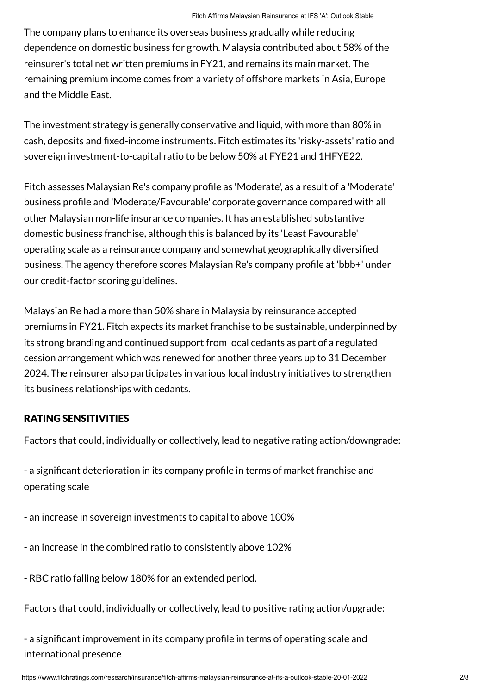The company plans to enhance its overseas business gradually while reducing dependence on domestic business for growth. Malaysia contributed about 58% of the reinsurer's total net written premiums in FY21, and remains its main market. The remaining premium income comes from a variety of offshore markets in Asia, Europe and the Middle East.

The investment strategy is generally conservative and liquid, with more than 80% in cash, deposits and fixed-income instruments. Fitch estimates its 'risky-assets' ratio and sovereign investment-to-capital ratio to be below 50% at FYE21 and 1HFYE22.

Fitch assesses Malaysian Re's company profile as 'Moderate', as a result of a 'Moderate' business profile and 'Moderate/Favourable' corporate governance compared with all other Malaysian non-life insurance companies. It has an established substantive domestic business franchise, although this is balanced by its 'Least Favourable' operating scale as a reinsurance company and somewhat geographically diversified business. The agency therefore scores Malaysian Re's company profile at 'bbb+' under our credit-factor scoring guidelines.

Malaysian Re had a more than 50% share in Malaysia by reinsurance accepted premiums in FY21. Fitch expects its market franchise to be sustainable, underpinned by its strong branding and continued support from local cedants as part of a regulated cession arrangement which was renewed for another three years up to 31 December 2024. The reinsurer also participates in various local industry initiatives to strengthen its business relationships with cedants.

# RATING SENSITIVITIES

Factors that could, individually or collectively, lead to negative rating action/downgrade:

- a significant deterioration in its company profile in terms of market franchise and operating scale

- an increase in sovereign investments to capital to above 100%

- an increase in the combined ratio to consistently above 102%

- RBC ratio falling below 180% for an extended period.

Factors that could, individually or collectively, lead to positive rating action/upgrade:

- a significant improvement in its company profile in terms of operating scale and international presence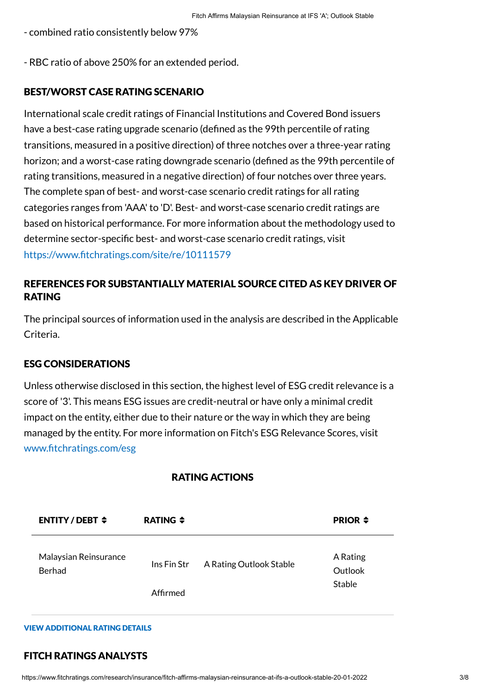- combined ratio consistently below 97%

- RBC ratio of above 250% for an extended period.

# BEST/WORST CASE RATING SCENARIO

International scale credit ratings of Financial Institutions and Covered Bond issuers have a best-case rating upgrade scenario (defined as the 99th percentile of rating transitions, measured in a positive direction) of three notches over a three-year rating horizon; and a worst-case rating downgrade scenario (defined as the 99th percentile of rating transitions, measured in a negative direction) of four notches over three years. The complete span of best- and worst-case scenario credit ratings for all rating categories ranges from 'AAA' to 'D'. Best- and worst-case scenario credit ratings are based on historical performance. For more information about the methodology used to determine sector-specific best- and worst-case scenario credit ratings, visit <https://www.fitchratings.com/site/re/10111579>

# REFERENCES FOR SUBSTANTIALLY MATERIAL SOURCE CITED AS KEY DRIVER OF RATING

The principal sources of information used in the analysis are described in the Applicable Criteria.

# ESG CONSIDERATIONS

Unless otherwise disclosed in this section, the highest level of ESG credit relevance is a score of '3'. This means ESG issues are credit-neutral or have only a minimal credit impact on the entity, either due to their nature or the way in which they are being managed by the entity. For more information on Fitch's ESG Relevance Scores, visit [www.fitchratings.com/esg](http://www.fitchratings.com/esg)

| ENTITY/DEBT $\div$              | RATING $\div$           |                         | <b>PRIOR <math>\div</math></b> |
|---------------------------------|-------------------------|-------------------------|--------------------------------|
| Malaysian Reinsurance<br>Berhad | Ins Fin Str<br>Affirmed | A Rating Outlook Stable | A Rating<br>Outlook<br>Stable  |

# RATING ACTIONS

#### VIEW ADDITIONAL RATING DETAILS

# FITCH RATINGS ANALYSTS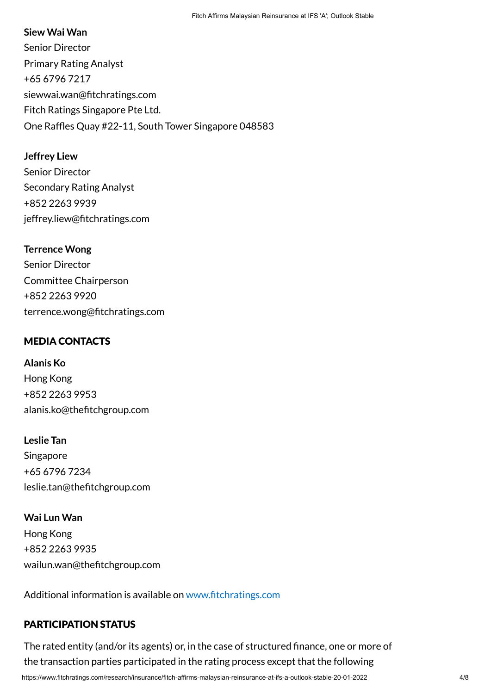#### **Siew Wai Wan**

Senior Director Primary Rating Analyst +65 6796 7217 siewwai.wan@fitchratings.com Fitch Ratings Singapore Pte Ltd. One Raffles Quay #22-11, South Tower Singapore 048583

# **Jeffrey Liew**

Senior Director Secondary Rating Analyst +852 2263 9939 jeffrey.liew@fitchratings.com

# **Terrence Wong**

Senior Director Committee Chairperson +852 2263 9920 terrence.wong@fitchratings.com

# MEDIA CONTACTS

**Alanis Ko** Hong Kong +852 2263 9953 alanis.ko@thefitchgroup.com

**Leslie Tan** Singapore +65 6796 7234 leslie.tan@thefitchgroup.com

**Wai Lun Wan** Hong Kong +852 2263 9935 wailun.wan@thefitchgroup.com

Additional information is available on [www.fitchratings.com](http://www.fitchratings.com/)

# PARTICIPATION STATUS

The rated entity (and/or its agents) or, in the case of structured finance, one or more of the transaction parties participated in the rating process except that the following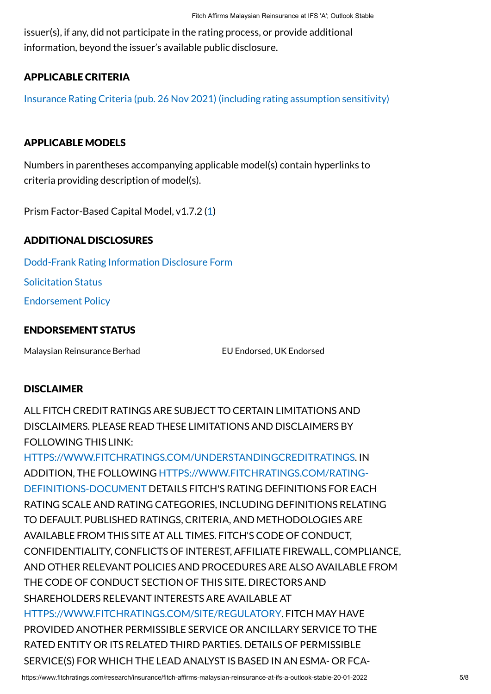issuer(s), if any, did not participate in the rating process, or provide additional information, beyond the issuer's available public disclosure.

# APPLICABLE CRITERIA

[Insurance Rating Criteria \(pub. 26 Nov 2021\) \(including rating assumption sensitivity\)](https://www.fitchratings.com/research/insurance/insurance-rating-criteria-26-11-2021)

#### APPLICABLE MODELS

Numbers in parentheses accompanying applicable model(s) contain hyperlinks to criteria providing description of model(s).

Prism Factor-Based Capital Model, v1.7.2 [\(1\)](https://www.fitchratings.com/research/insurance/insurance-rating-criteria-26-11-2021)

# ADDITIONAL DISCLOSURES

[Dodd-Frank Rating Information Disclosure Form](https://www.fitchratings.com/research/insurance/fitch-affirms-malaysian-reinsurance-at-ifs-a-outlook-stable-20-01-2022/dodd-frank-disclosure) Solicitation Status

[Endorsement Policy](#page-7-0)

#### ENDORSEMENT STATUS

Malaysian Reinsurance Berhad EU Endorsed, UK Endorsed

#### **DISCLAIMER**

ALL FITCH CREDIT RATINGS ARE SUBJECT TO CERTAIN LIMITATIONS AND DISCLAIMERS. PLEASE READ THESE LIMITATIONS AND DISCLAIMERS BY FOLLOWING THIS LINK:

[HTTPS://WWW.FITCHRATINGS.COM/UNDERSTANDINGCREDITRATINGS](https://www.fitchratings.com/UNDERSTANDINGCREDITRATINGS). IN [ADDITION, THE FOLLOWING HTTPS://WWW.FITCHRATINGS.COM/RATING-](https://www.fitchratings.com/rating-definitions-document)DEFINITIONS-DOCUMENT DETAILS FITCH'S RATING DEFINITIONS FOR EACH RATING SCALE AND RATING CATEGORIES, INCLUDING DEFINITIONS RELATING TO DEFAULT. PUBLISHED RATINGS, CRITERIA, AND METHODOLOGIES ARE AVAILABLE FROM THIS SITE AT ALL TIMES. FITCH'S CODE OF CONDUCT, CONFIDENTIALITY, CONFLICTS OF INTEREST, AFFILIATE FIREWALL, COMPLIANCE, AND OTHER RELEVANT POLICIES AND PROCEDURES ARE ALSO AVAILABLE FROM THE CODE OF CONDUCT SECTION OF THIS SITE. DIRECTORS AND SHAREHOLDERS RELEVANT INTERESTS ARE AVAILABLE AT [HTTPS://WWW.FITCHRATINGS.COM/SITE/REGULATORY](https://www.fitchratings.com/site/regulatory). FITCH MAY HAVE PROVIDED ANOTHER PERMISSIBLE SERVICE OR ANCILLARY SERVICE TO THE RATED ENTITY OR ITS RELATED THIRD PARTIES. DETAILS OF PERMISSIBLE SERVICE(S) FOR WHICH THE LEAD ANALYST IS BASED IN AN ESMA- OR FCA-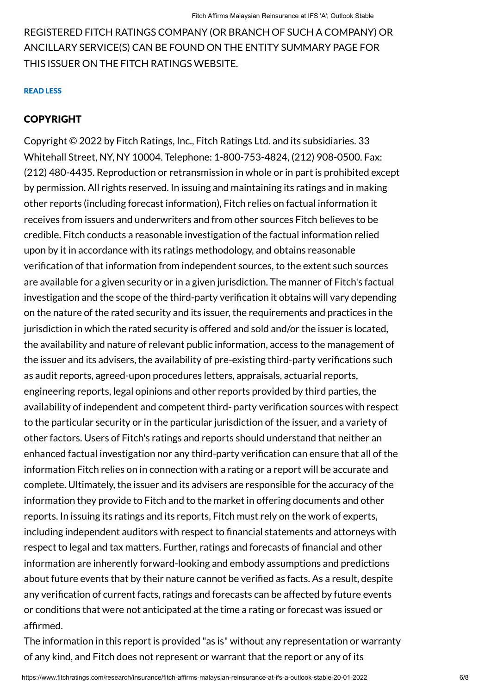REGISTERED FITCH RATINGS COMPANY (OR BRANCH OF SUCH A COMPANY) OR ANCILLARY SERVICE(S) CAN BE FOUND ON THE ENTITY SUMMARY PAGE FOR THIS ISSUER ON THE FITCH RATINGS WEBSITE.

#### READ LESS

# COPYRIGHT

Copyright © 2022 by Fitch Ratings, Inc., Fitch Ratings Ltd. and its subsidiaries. 33 Whitehall Street, NY, NY 10004. Telephone: 1-800-753-4824, (212) 908-0500. Fax: (212) 480-4435. Reproduction or retransmission in whole or in part is prohibited except by permission. All rights reserved. In issuing and maintaining its ratings and in making other reports (including forecast information), Fitch relies on factual information it receives from issuers and underwriters and from other sources Fitch believes to be credible. Fitch conducts a reasonable investigation of the factual information relied upon by it in accordance with its ratings methodology, and obtains reasonable verification of that information from independent sources, to the extent such sources are available for a given security or in a given jurisdiction. The manner of Fitch's factual investigation and the scope of the third-party verification it obtains will vary depending on the nature of the rated security and its issuer, the requirements and practices in the jurisdiction in which the rated security is offered and sold and/or the issuer is located, the availability and nature of relevant public information, access to the management of the issuer and its advisers, the availability of pre-existing third-party verifications such as audit reports, agreed-upon procedures letters, appraisals, actuarial reports, engineering reports, legal opinions and other reports provided by third parties, the availability of independent and competent third- party verification sources with respect to the particular security or in the particular jurisdiction of the issuer, and a variety of other factors. Users of Fitch's ratings and reports should understand that neither an enhanced factual investigation nor any third-party verification can ensure that all of the information Fitch relies on in connection with a rating or a report will be accurate and complete. Ultimately, the issuer and its advisers are responsible for the accuracy of the information they provide to Fitch and to the market in offering documents and other reports. In issuing its ratings and its reports, Fitch must rely on the work of experts, including independent auditors with respect to financial statements and attorneys with respect to legal and tax matters. Further, ratings and forecasts of financial and other information are inherently forward-looking and embody assumptions and predictions about future events that by their nature cannot be verified as facts. As a result, despite any verification of current facts, ratings and forecasts can be affected by future events or conditions that were not anticipated at the time a rating or forecast was issued or affirmed.

The information in this report is provided "as is" without any representation or warranty of any kind, and Fitch does not represent or warrant that the report or any of its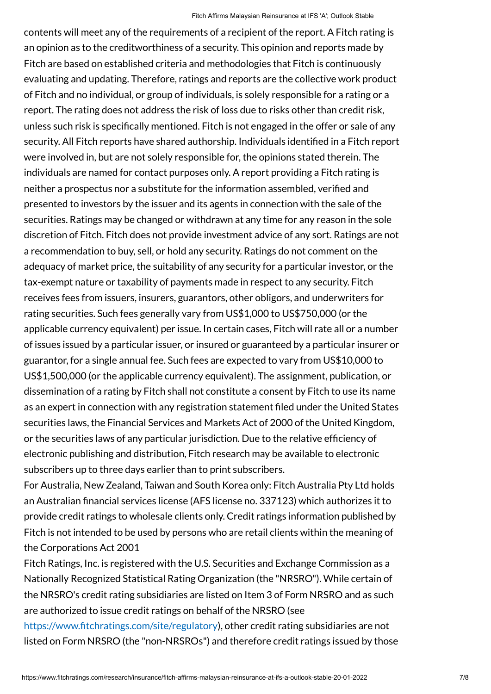contents will meet any of the requirements of a recipient of the report. A Fitch rating is an opinion as to the creditworthiness of a security. This opinion and reports made by Fitch are based on established criteria and methodologies that Fitch is continuously evaluating and updating. Therefore, ratings and reports are the collective work product of Fitch and no individual, or group of individuals, is solely responsible for a rating or a report. The rating does not address the risk of loss due to risks other than credit risk, unless such risk is specifically mentioned. Fitch is not engaged in the offer or sale of any security. All Fitch reports have shared authorship. Individuals identified in a Fitch report were involved in, but are not solely responsible for, the opinions stated therein. The individuals are named for contact purposes only. A report providing a Fitch rating is neither a prospectus nor a substitute for the information assembled, verified and presented to investors by the issuer and its agents in connection with the sale of the securities. Ratings may be changed or withdrawn at any time for any reason in the sole discretion of Fitch. Fitch does not provide investment advice of any sort. Ratings are not a recommendation to buy, sell, or hold any security. Ratings do not comment on the adequacy of market price, the suitability of any security for a particular investor, or the tax-exempt nature or taxability of payments made in respect to any security. Fitch receives fees from issuers, insurers, guarantors, other obligors, and underwriters for rating securities. Such fees generally vary from US\$1,000 to US\$750,000 (or the applicable currency equivalent) per issue. In certain cases, Fitch will rate all or a number of issues issued by a particular issuer, or insured or guaranteed by a particular insurer or guarantor, for a single annual fee. Such fees are expected to vary from US\$10,000 to US\$1,500,000 (or the applicable currency equivalent). The assignment, publication, or dissemination of a rating by Fitch shall not constitute a consent by Fitch to use its name as an expert in connection with any registration statement filed under the United States securities laws, the Financial Services and Markets Act of 2000 of the United Kingdom, or the securities laws of any particular jurisdiction. Due to the relative efficiency of electronic publishing and distribution, Fitch research may be available to electronic subscribers up to three days earlier than to print subscribers.

For Australia, New Zealand, Taiwan and South Korea only: Fitch Australia Pty Ltd holds an Australian financial services license (AFS license no. 337123) which authorizes it to provide credit ratings to wholesale clients only. Credit ratings information published by Fitch is not intended to be used by persons who are retail clients within the meaning of the Corporations Act 2001

Fitch Ratings, Inc. is registered with the U.S. Securities and Exchange Commission as a Nationally Recognized Statistical Rating Organization (the "NRSRO"). While certain of the NRSRO's credit rating subsidiaries are listed on Item 3 of Form NRSRO and as such are authorized to issue credit ratings on behalf of the NRSRO (see

<https://www.fitchratings.com/site/regulatory>), other credit rating subsidiaries are not listed on Form NRSRO (the "non-NRSROs") and therefore credit ratings issued by those